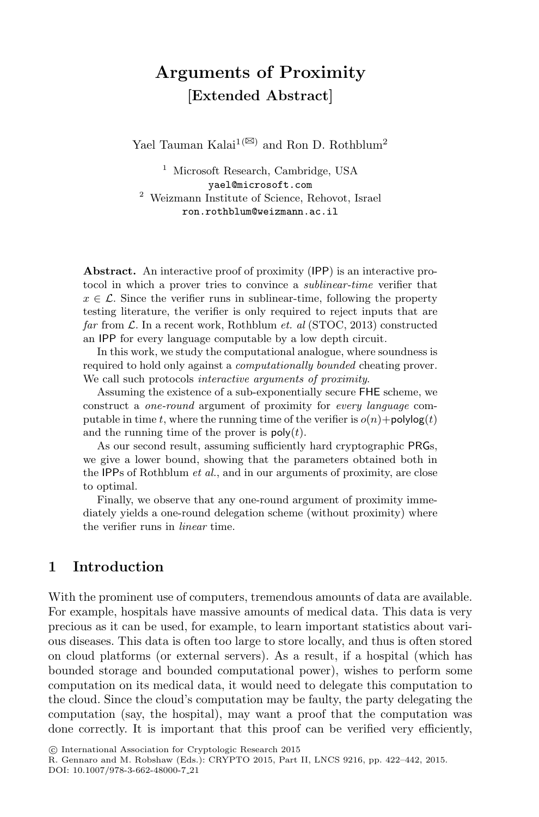# **Arguments of Proximity [Extended Abstract]**

Yael Tauman Kalai<sup>1( $\boxtimes$ )</sup> and Ron D. Rothblum<sup>2</sup>

<sup>1</sup> Microsoft Research, Cambridge, USA yael@microsoft.com <sup>2</sup> Weizmann Institute of Science, Rehovot, Israel ron.rothblum@weizmann.ac.il

**Abstract.** An interactive proof of proximity (IPP) is an interactive protocol in which a prover tries to convince a *sublinear-time* verifier that  $x \in \mathcal{L}$ . Since the verifier runs in sublinear-time, following the property testing literature, the verifier is only required to reject inputs that are *far* from L. In a recent work, Rothblum *et. al* (STOC, 2013) constructed an IPP for every language computable by a low depth circuit.

In this work, we study the computational analogue, where soundness is required to hold only against a *computationally bounded* cheating prover. We call such protocols *interactive arguments of proximity*.

Assuming the existence of a sub-exponentially secure FHE scheme, we construct a *one-round* argument of proximity for *every language* computable in time t, where the running time of the verifier is  $o(n) + \text{polylog}(t)$ and the running time of the prover is  $\text{poly}(t)$ .

As our second result, assuming sufficiently hard cryptographic PRGs, we give a lower bound, showing that the parameters obtained both in the IPPs of Rothblum *et al.*, and in our arguments of proximity, are close to optimal.

Finally, we observe that any one-round argument of proximity immediately yields a one-round delegation scheme (without proximity) where the verifier runs in *linear* time.

### **1 Introduction**

With the prominent use of computers, tremendous amounts of data are available. For example, hospitals have massive amounts of medical data. This data is very precious as it can be used, for example, to learn important statistics about various diseases. This data is often too large to store locally, and thus is often stored on cloud platforms (or external servers). As a result, if a hospital (which has bounded storage and bounded computational power), wishes to perform some computation on its medical data, it would need to delegate this computation to the cloud. Since the cloud's computation may be faulty, the party delegating the computation (say, the hospital), may want a proof that the computation was done correctly. It is important that this proof can be verified very efficiently,

<sup>-</sup>c International Association for Cryptologic Research 2015

R. Gennaro and M. Robshaw (Eds.): CRYPTO 2015, Part II, LNCS 9216, pp. 422–442, 2015. DOI: 10.1007/978-3-662-48000-7 21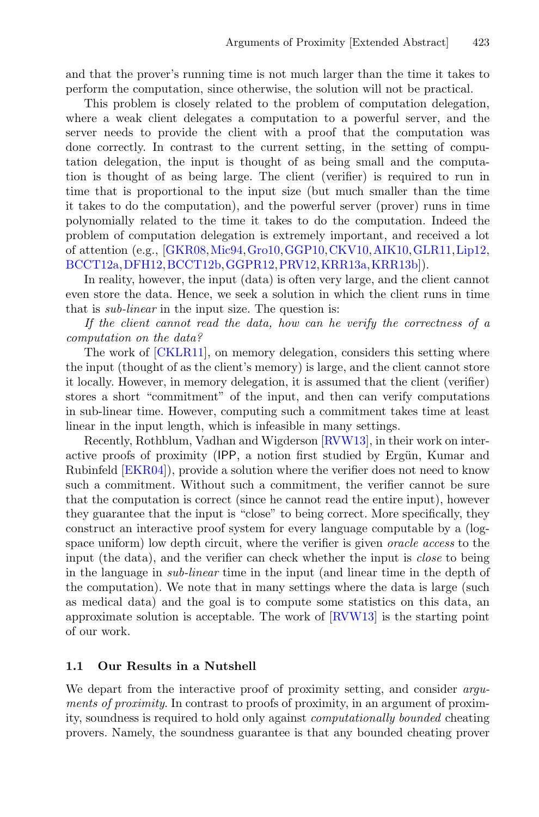and that the prover's running time is not much larger than the time it takes to perform the computation, since otherwise, the solution will not be practical.

This problem is closely related to the problem of computation delegation, where a weak client delegates a computation to a powerful server, and the server needs to provide the client with a proof that the computation was done correctly. In contrast to the current setting, in the setting of computation delegation, the input is thought of as being small and the computation is thought of as being large. The client (verifier) is required to run in time that is proportional to the input size (but much smaller than the time it takes to do the computation), and the powerful server (prover) runs in time polynomially related to the time it takes to do the computation. Indeed the problem of computation delegation is extremely important, and received a lot of attention (e.g., [\[GKR08,](#page-19-0)[Mic94](#page-20-0),[Gro10](#page-19-1)[,GGP10,](#page-19-2)[CKV10](#page-19-3)[,AIK10](#page-18-0)[,GLR11](#page-19-4)[,Lip12,](#page-20-1) [BCCT12a](#page-19-5),[DFH12](#page-19-6)[,BCCT12b](#page-19-7)[,GGPR12,](#page-19-8)[PRV12](#page-20-2),[KRR13a](#page-20-3),[KRR13b\]](#page-20-4)).

In reality, however, the input (data) is often very large, and the client cannot even store the data. Hence, we seek a solution in which the client runs in time that is *sub-linear* in the input size. The question is:

*If the client cannot read the data, how can he verify the correctness of a computation on the data?*

The work of [\[CKLR11](#page-19-9)], on memory delegation, considers this setting where the input (thought of as the client's memory) is large, and the client cannot store it locally. However, in memory delegation, it is assumed that the client (verifier) stores a short "commitment" of the input, and then can verify computations in sub-linear time. However, computing such a commitment takes time at least linear in the input length, which is infeasible in many settings.

Recently, Rothblum, Vadhan and Wigderson [\[RVW13](#page-20-5)], in their work on interactive proofs of proximity (IPP, a notion first studied by Ergün, Kumar and Rubinfeld [\[EKR04](#page-19-10)]), provide a solution where the verifier does not need to know such a commitment. Without such a commitment, the verifier cannot be sure that the computation is correct (since he cannot read the entire input), however they guarantee that the input is "close" to being correct. More specifically, they construct an interactive proof system for every language computable by a (logspace uniform) low depth circuit, where the verifier is given *oracle access* to the input (the data), and the verifier can check whether the input is *close* to being in the language in *sub-linear* time in the input (and linear time in the depth of the computation). We note that in many settings where the data is large (such as medical data) and the goal is to compute some statistics on this data, an approximate solution is acceptable. The work of [\[RVW13](#page-20-5)] is the starting point of our work.

#### **1.1 Our Results in a Nutshell**

We depart from the interactive proof of proximity setting, and consider *arguments of proximity*. In contrast to proofs of proximity, in an argument of proximity, soundness is required to hold only against *computationally bounded* cheating provers. Namely, the soundness guarantee is that any bounded cheating prover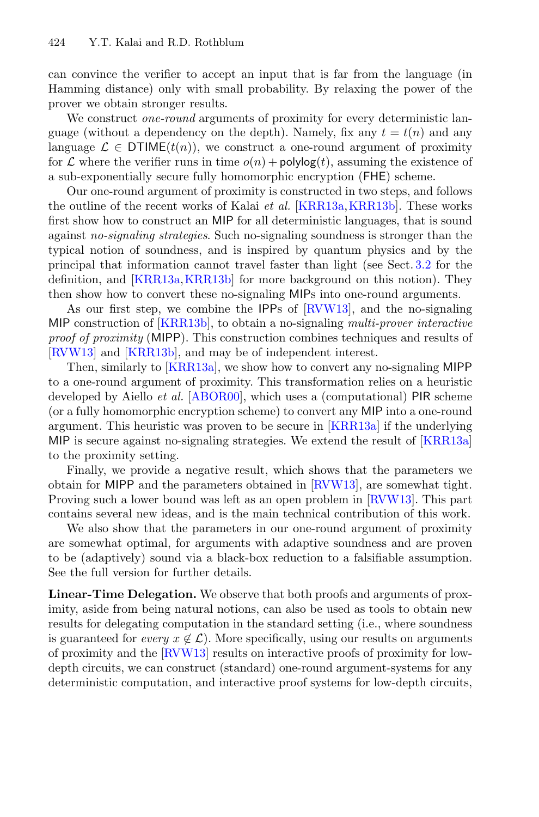can convince the verifier to accept an input that is far from the language (in Hamming distance) only with small probability. By relaxing the power of the prover we obtain stronger results.

We construct *one-round* arguments of proximity for every deterministic language (without a dependency on the depth). Namely, fix any  $t = t(n)$  and any language  $\mathcal{L} \in \text{DTIME}(t(n))$ , we construct a one-round argument of proximity for L where the verifier runs in time  $o(n) + \text{polylog}(t)$ , assuming the existence of a sub-exponentially secure fully homomorphic encryption (FHE) scheme.

Our one-round argument of proximity is constructed in two steps, and follows the outline of the recent works of Kalai *et al.* [\[KRR13a](#page-20-3), KRR13b]. These works first show how to construct an MIP for all deterministic languages, that is sound against *no-signaling strategies*. Such no-signaling soundness is stronger than the typical notion of soundness, and is inspired by quantum physics and by the principal that information cannot travel faster than light (see Sect. [3.2](#page-12-0) for the definition, and [\[KRR13a,](#page-20-3)[KRR13b\]](#page-20-4) for more background on this notion). They then show how to convert these no-signaling MIPs into one-round arguments.

As our first step, we combine the IPPs of [\[RVW13](#page-20-5)], and the no-signaling MIP construction of [\[KRR13b\]](#page-20-4), to obtain a no-signaling *multi-prover interactive proof of proximity* (MIPP). This construction combines techniques and results of [\[RVW13](#page-20-5)] and [\[KRR13b](#page-20-4)], and may be of independent interest.

Then, similarly to [\[KRR13a\]](#page-20-3), we show how to convert any no-signaling MIPP to a one-round argument of proximity. This transformation relies on a heuristic developed by Aiello *et al.* [\[ABOR00](#page-18-1)], which uses a (computational) PIR scheme (or a fully homomorphic encryption scheme) to convert any MIP into a one-round argument. This heuristic was proven to be secure in [\[KRR13a](#page-20-3)] if the underlying MIP is secure against no-signaling strategies. We extend the result of [\[KRR13a](#page-20-3)] to the proximity setting.

Finally, we provide a negative result, which shows that the parameters we obtain for MIPP and the parameters obtained in [\[RVW13\]](#page-20-5), are somewhat tight. Proving such a lower bound was left as an open problem in [\[RVW13\]](#page-20-5). This part contains several new ideas, and is the main technical contribution of this work.

We also show that the parameters in our one-round argument of proximity are somewhat optimal, for arguments with adaptive soundness and are proven to be (adaptively) sound via a black-box reduction to a falsifiable assumption. See the full version for further details.

**Linear-Time Delegation.** We observe that both proofs and arguments of proximity, aside from being natural notions, can also be used as tools to obtain new results for delegating computation in the standard setting (i.e., where soundness is guaranteed for *every*  $x \notin \mathcal{L}$ ). More specifically, using our results on arguments of proximity and the [\[RVW13\]](#page-20-5) results on interactive proofs of proximity for lowdepth circuits, we can construct (standard) one-round argument-systems for any deterministic computation, and interactive proof systems for low-depth circuits,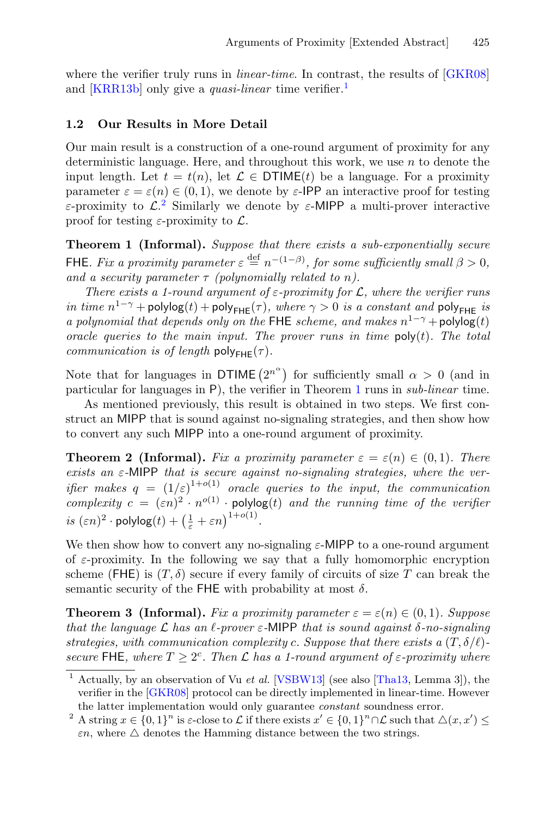where the verifier truly runs in *linear-time*. In contrast, the results of  $[GRR08]$ and [\[KRR13b\]](#page-20-4) only give a *quasi-linear* time verifier.<sup>[1](#page-3-0)</sup>

#### **1.2 Our Results in More Detail**

Our main result is a construction of a one-round argument of proximity for any deterministic language. Here, and throughout this work, we use  $n$  to denote the input length. Let  $t = t(n)$ , let  $\mathcal{L} \in \text{DTIME}(t)$  be a language. For a proximity parameter  $\varepsilon = \varepsilon(n) \in (0,1)$ , we denote by  $\varepsilon$ -IPP an interactive proof for testing ε-proximity to  $\mathcal{L}^2$  $\mathcal{L}^2$  Similarly we denote by ε-MIPP a multi-prover interactive<br>proof for testing ε-proximity to  $\mathcal{L}$ proof for testing  $\varepsilon$ -proximity to  $\mathcal{L}$ .

<span id="page-3-2"></span>**Theorem 1 (Informal).** *Suppose that there exists a sub-exponentially secure* **FHE***. Fix a proximity parameter*  $\varepsilon \stackrel{\text{def}}{=} n^{-(1-\beta)}$ , for some and a security parameter  $\tau$  (polynomially related to n).  $\stackrel{\text{def}}{=} n^{-(1-\beta)}$ , for some sufficiently small  $\beta > 0$ ,

*There exists a 1-round argument of* ε*-proximity for* L*, where the verifier runs in time*  $n^{1-\gamma}$  + polylog(t) + poly<sub>FHE</sub>( $\tau$ ), where  $\gamma > 0$  *is a constant and* poly<sub>FHE</sub> *is a polynomial that depends only on the* FHE *scheme, and makes*  $n^{1-\gamma} + \text{polylog}(t)$ *oracle queries to the main input. The prover runs in time*  $poly(t)$ *. The total communication is of length*  $poly_{\text{FHF}}(\tau)$ *.* 

Note that for languages in DTIME  $(2^{n^{\alpha}})$  for sufficiently small  $\alpha > 0$  (and in particular for languages in P) the verifier in Theorem 1 runs in sub-linear time particular for languages in P), the verifier in Theorem [1](#page-3-2) runs in *sub-linear* time.

As mentioned previously, this result is obtained in two steps. We first construct an MIPP that is sound against no-signaling strategies, and then show how to convert any such MIPP into a one-round argument of proximity.

<span id="page-3-3"></span>**Theorem 2 (Informal).** *Fix a proximity parameter*  $\varepsilon = \varepsilon(n) \in (0,1)$ *. There* exists an  $\varepsilon$ -MIPP that is secure against no-signaling strategies, where the verexists an  $\varepsilon$ -MIPP *that is secure against no-signaling strategies, where the ver-*<br>*ifier makes*  $q = (1/\varepsilon)^{1+o(1)}$  *oracle queries to the input, the communication complexity*  $c = (\varepsilon n)^2 \cdot n^{o(1)} \cdot \text{polylog}(t)$  *and the running time of the verifier*  $is (\varepsilon n)^2 \cdot \text{polylog}(t) + \left(\frac{1}{\varepsilon} + \varepsilon n\right)^{1+o(1)}.$ 

We then show how to convert any no-signaling  $\varepsilon$ -MIPP to a one-round argument of  $\varepsilon$ -proximity. In the following we say that a fully homomorphic encryption scheme (FHE) is  $(T, \delta)$  secure if every family of circuits of size T can break the semantic security of the FHE with probability at most  $\delta$ .

**Theorem 3 (Informal).** *Fix a proximity parameter*  $\varepsilon = \varepsilon(n) \in (0,1)$ *. Suppose that the language* <sup>L</sup> *has an -prover* <sup>ε</sup>*-*MIPP *that is sound against* <sup>δ</sup>*-no-signaling strategies, with communication complexity* c*. Suppose that there exists* a  $(T, \delta/\ell)$ *secure* FHE, where  $T \geq 2^c$ . Then  $\mathcal L$  has a 1-round argument of  $\varepsilon$ -proximity where

<span id="page-3-0"></span><sup>&</sup>lt;sup>1</sup> Actually, by an observation of Vu *et al.* [\[VSBW13\]](#page-20-6) (see also [\[Tha13,](#page-20-7) Lemma 3]), the verifier in the [\[GKR08\]](#page-19-0) protocol can be directly implemented in linear-time. However the latter implementation would only guarantee *constant* soundness error.

<span id="page-3-1"></span><sup>&</sup>lt;sup>2</sup> A string  $x \in \{0,1\}^n$  is  $\varepsilon$ -close to  $\mathcal L$  if there exists  $x' \in \{0,1\}^n \cap \mathcal L$  such that  $\triangle(x, x') \leq$  $\varepsilon$ n, where  $\Delta$  denotes the Hamming distance between the two strings.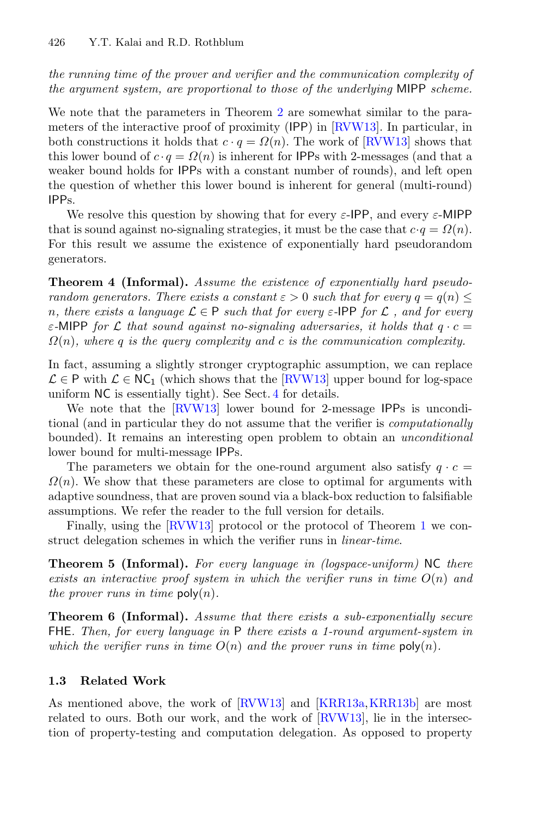*the running time of the prover and verifier and the communication complexity of the argument system, are proportional to those of the underlying* MIPP *scheme.*

We note that the parameters in Theorem [2](#page-3-3) are somewhat similar to the parameters of the interactive proof of proximity (IPP) in [\[RVW13\]](#page-20-5). In particular, in both constructions it holds that  $c \cdot q = \Omega(n)$ . The work of [\[RVW13](#page-20-5)] shows that this lower bound of  $c \cdot q = \Omega(n)$  is inherent for IPPs with 2-messages (and that a weaker bound holds for IPPs with a constant number of rounds), and left open the question of whether this lower bound is inherent for general (multi-round) IPPs.

We resolve this question by showing that for every  $\varepsilon$ -IPP, and every  $\varepsilon$ -MIPP that is sound against no-signaling strategies, it must be the case that  $c \cdot q = \Omega(n)$ . For this result we assume the existence of exponentially hard pseudorandom generators.

**Theorem 4 (Informal).** *Assume the existence of exponentially hard pseudorandom generators. There exists a constant*  $\varepsilon > 0$  *such that for every*  $q = q(n)$ *n*, there exists a language  $\mathcal{L} \in \mathsf{P}$  such that for every  $\varepsilon$ -IPP for  $\mathcal{L}$ , and for every  $\varepsilon$ -MIPP *for* L *that sound against no-signaling adversaries, it holds that*  $q \cdot c =$ Ω(n)*, where* q *is the query complexity and* c *is the communication complexity.*

In fact, assuming a slightly stronger cryptographic assumption, we can replace  $\mathcal{L} \in \mathsf{P}$  with  $\mathcal{L} \in \mathsf{NC}_1$  (which shows that the RVW13) upper bound for log-space uniform NC is essentially tight). See Sect. [4](#page-14-0) for details.

We note that the  $\text{RVW13}$  lower bound for 2-message IPPs is unconditional (and in particular they do not assume that the verifier is *computationally* bounded). It remains an interesting open problem to obtain an *unconditional* lower bound for multi-message IPPs.

The parameters we obtain for the one-round argument also satisfy  $q \cdot c =$  $\Omega(n)$ . We show that these parameters are close to optimal for arguments with adaptive soundness, that are proven sound via a black-box reduction to falsifiable assumptions. We refer the reader to the full version for details.

Finally, using the [\[RVW13\]](#page-20-5) protocol or the protocol of Theorem [1](#page-3-2) we construct delegation schemes in which the verifier runs in *linear-time*.

**Theorem 5 (Informal).** *For every language in (logspace-uniform)* NC *there exists an interactive proof system in which the verifier runs in time*  $O(n)$  *and the prover runs in time*  $\text{poly}(n)$ *.* 

**Theorem 6 (Informal).** *Assume that there exists a sub-exponentially secure* FHE*. Then, for every language in* P *there exists a 1-round argument-system in which the verifier runs in time*  $O(n)$  *and the prover runs in time*  $\text{poly}(n)$ *.* 

#### **1.3 Related Work**

As mentioned above, the work of [\[RVW13\]](#page-20-5) and [\[KRR13a,](#page-20-3)[KRR13b](#page-20-4)] are most related to ours. Both our work, and the work of [\[RVW13](#page-20-5)], lie in the intersection of property-testing and computation delegation. As opposed to property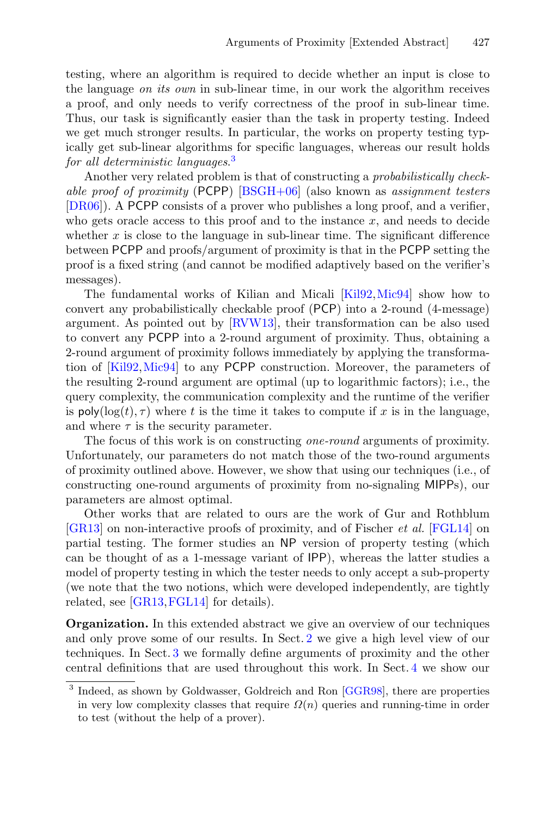testing, where an algorithm is required to decide whether an input is close to the language *on its own* in sub-linear time, in our work the algorithm receives a proof, and only needs to verify correctness of the proof in sub-linear time. Thus, our task is significantly easier than the task in property testing. Indeed we get much stronger results. In particular, the works on property testing typically get sub-linear algorithms for specific languages, whereas our result holds *for all deterministic languages*. [3](#page-5-0)

Another very related problem is that of constructing a *probabilistically checkable proof of proximity* (PCPP) [\[BSGH+06\]](#page-19-11) (also known as *assignment testers* [\[DR06](#page-19-12)]). A PCPP consists of a prover who publishes a long proof, and a verifier, who gets oracle access to this proof and to the instance  $x$ , and needs to decide whether  $x$  is close to the language in sub-linear time. The significant difference between PCPP and proofs/argument of proximity is that in the PCPP setting the proof is a fixed string (and cannot be modified adaptively based on the verifier's messages).

The fundamental works of Kilian and Micali [\[Kil92,](#page-20-8)[Mic94\]](#page-20-0) show how to convert any probabilistically checkable proof (PCP) into a 2-round (4-message) argument. As pointed out by [\[RVW13](#page-20-5)], their transformation can be also used to convert any PCPP into a 2-round argument of proximity. Thus, obtaining a 2-round argument of proximity follows immediately by applying the transformation of [\[Kil92](#page-20-8),[Mic94](#page-20-0)] to any PCPP construction. Moreover, the parameters of the resulting 2-round argument are optimal (up to logarithmic factors); i.e., the query complexity, the communication complexity and the runtime of the verifier is  $\text{poly}(\log(t), \tau)$  where t is the time it takes to compute if x is in the language, and where  $\tau$  is the security parameter.

The focus of this work is on constructing *one-round* arguments of proximity. Unfortunately, our parameters do not match those of the two-round arguments of proximity outlined above. However, we show that using our techniques (i.e., of constructing one-round arguments of proximity from no-signaling MIPPs), our parameters are almost optimal.

Other works that are related to ours are the work of Gur and Rothblum [\[GR13](#page-19-13)] on non-interactive proofs of proximity, and of Fischer *et al.* [\[FGL14\]](#page-19-14) on partial testing. The former studies an NP version of property testing (which can be thought of as a 1-message variant of IPP), whereas the latter studies a model of property testing in which the tester needs to only accept a sub-property (we note that the two notions, which were developed independently, are tightly related, see [\[GR13,](#page-19-13)[FGL14\]](#page-19-14) for details).

**Organization.** In this extended abstract we give an overview of our techniques and only prove some of our results. In Sect. [2](#page-6-0) we give a high level view of our techniques. In Sect. [3](#page-11-0) we formally define arguments of proximity and the other central definitions that are used throughout this work. In Sect. [4](#page-14-0) we show our

<span id="page-5-0"></span><sup>&</sup>lt;sup>3</sup> Indeed, as shown by Goldwasser, Goldreich and Ron [\[GGR98\]](#page-19-15), there are properties in very low complexity classes that require  $\Omega(n)$  queries and running-time in order to test (without the help of a prover).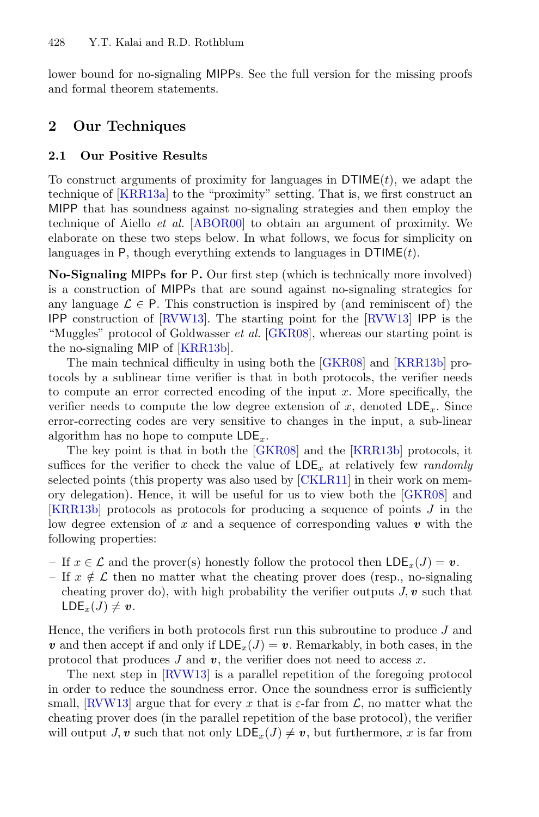lower bound for no-signaling MIPPs. See the full version for the missing proofs and formal theorem statements.

# <span id="page-6-0"></span>**2 Our Techniques**

#### **2.1 Our Positive Results**

To construct arguments of proximity for languages in  $DTIME(t)$ , we adapt the technique of [\[KRR13a](#page-20-3)] to the "proximity" setting. That is, we first construct an MIPP that has soundness against no-signaling strategies and then employ the technique of Aiello *et al.* [\[ABOR00](#page-18-1)] to obtain an argument of proximity. We elaborate on these two steps below. In what follows, we focus for simplicity on languages in  $P$ , though everything extends to languages in  $DTIME(t)$ .

**No-Signaling** MIPP**s for** P**.** Our first step (which is technically more involved) is a construction of MIPPs that are sound against no-signaling strategies for any language  $\mathcal{L} \in \mathsf{P}$ . This construction is inspired by (and reminiscent of) the IPP construction of [\[RVW13](#page-20-5)]. The starting point for the [\[RVW13\]](#page-20-5) IPP is the "Muggles" protocol of Goldwasser *et al.* [\[GKR08\]](#page-19-0), whereas our starting point is the no-signaling MIP of [\[KRR13b](#page-20-4)].

The main technical difficulty in using both the [\[GKR08\]](#page-19-0) and [\[KRR13b\]](#page-20-4) protocols by a sublinear time verifier is that in both protocols, the verifier needs to compute an error corrected encoding of the input  $x$ . More specifically, the verifier needs to compute the low degree extension of x, denoted  $\text{LDE}_x$ . Since error-correcting codes are very sensitive to changes in the input, a sub-linear algorithm has no hope to compute  $\mathsf{LDE}_x$ .

The key point is that in both the [\[GKR08](#page-19-0)] and the [\[KRR13b\]](#page-20-4) protocols, it suffices for the verifier to check the value of  $\mathsf{LDE}_x$  at relatively few *randomly* selected points (this property was also used by [\[CKLR11\]](#page-19-9) in their work on memory delegation). Hence, it will be useful for us to view both the [\[GKR08](#page-19-0)] and [\[KRR13b](#page-20-4)] protocols as protocols for producing a sequence of points J in the low degree extension of x and a sequence of corresponding values *v* with the following properties:

- If  $x \in \mathcal{L}$  and the prover(s) honestly follow the protocol then  $\mathsf{LDE}_x(J) = v$ .
- If  $x \notin \mathcal{L}$  then no matter what the cheating prover does (resp., no-signaling cheating prover do), with high probability the verifier outputs  $J, \boldsymbol{v}$  such that  $\mathsf{LDE}_x(J) \neq v$ .

Hence, the verifiers in both protocols first run this subroutine to produce J and *v* and then accept if and only if  $\mathsf{LDE}_x(J) = v$ . Remarkably, in both cases, in the protocol that produces  $J$  and  $v$ , the verifier does not need to access  $x$ .

The next step in [\[RVW13\]](#page-20-5) is a parallel repetition of the foregoing protocol in order to reduce the soundness error. Once the soundness error is sufficiently small, [\[RVW13\]](#page-20-5) argue that for every x that is  $\varepsilon$ -far from  $\mathcal{L}$ , no matter what the cheating prover does (in the parallel repetition of the base protocol), the verifier will output J,  $\boldsymbol{v}$  such that not only  $\mathsf{LDE}_x(J) \neq \boldsymbol{v}$ , but furthermore, x is far from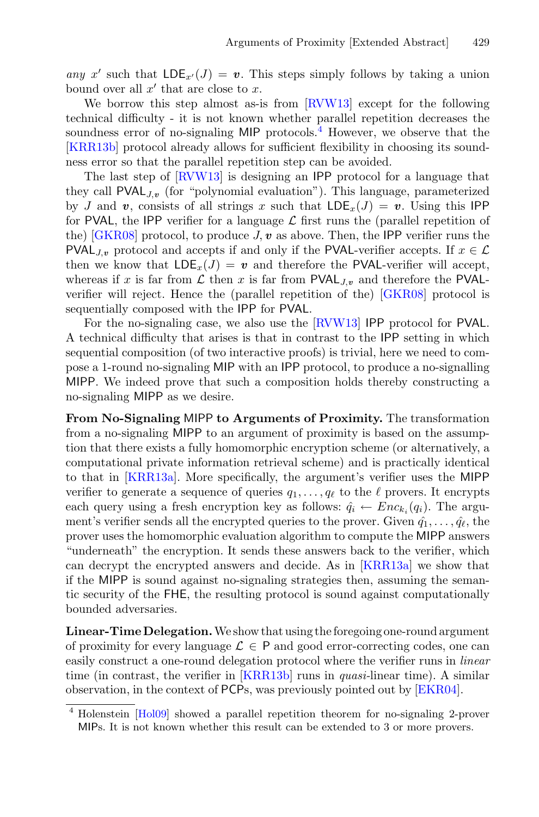*any* x' such that  $\text{LDE}_{x'}(J) = v$ . This steps simply follows by taking a union bound over all x' that are close to x bound over all  $x'$  that are close to  $x$ .

We borrow this step almost as-is from [\[RVW13\]](#page-20-5) except for the following technical difficulty - it is not known whether parallel repetition decreases the soundness error of no-signaling MIP protocols.<sup>[4](#page-7-0)</sup> However, we observe that the [\[KRR13b](#page-20-4)] protocol already allows for sufficient flexibility in choosing its soundness error so that the parallel repetition step can be avoided.

The last step of [\[RVW13](#page-20-5)] is designing an IPP protocol for a language that they call  $\mathsf{PVAL}_{J\prime\prime}$  (for "polynomial evaluation"). This language, parameterized by J and *v*, consists of all strings x such that  $\mathsf{LDE}_x(J) = v$ . Using this IPP for PVAL, the IPP verifier for a language  $\mathcal L$  first runs the (parallel repetition of the)  $[GKR08]$  protocol, to produce  $J, \nu$  as above. Then, the IPP verifier runs the PVAL<sub>J,v</sub> protocol and accepts if and only if the PVAL-verifier accepts. If  $x \in \mathcal{L}$ then we know that  $\mathsf{LDE}_x(J) = v$  and therefore the PVAL-verifier will accept, whereas if x is far from  $\mathcal L$  then x is far from PVAL<sub>I,v</sub> and therefore the PVALverifier will reject. Hence the (parallel repetition of the) [\[GKR08](#page-19-0)] protocol is sequentially composed with the IPP for PVAL.

For the no-signaling case, we also use the [\[RVW13\]](#page-20-5) IPP protocol for PVAL. A technical difficulty that arises is that in contrast to the IPP setting in which sequential composition (of two interactive proofs) is trivial, here we need to compose a 1-round no-signaling MIP with an IPP protocol, to produce a no-signalling MIPP. We indeed prove that such a composition holds thereby constructing a no-signaling MIPP as we desire.

**From No-Signaling** MIPP **to Arguments of Proximity.** The transformation from a no-signaling MIPP to an argument of proximity is based on the assumption that there exists a fully homomorphic encryption scheme (or alternatively, a computational private information retrieval scheme) and is practically identical to that in [\[KRR13a\]](#page-20-3). More specifically, the argument's verifier uses the MIPP verifier to generate a sequence of queries  $q_1, \ldots, q_\ell$  to the  $\ell$  provers. It encrypts each query using a fresh encryption key as follows:  $\hat{q}_i \leftarrow Enc_{k_i}(q_i)$ . The argument's verifier sends all the encrypted queries to the prover. Given  $\hat{q}_1,\ldots,\hat{q}_\ell$ , the prover uses the homomorphic evaluation algorithm to compute the MIPP answers "underneath" the encryption. It sends these answers back to the verifier, which can decrypt the encrypted answers and decide. As in [\[KRR13a\]](#page-20-3) we show that if the MIPP is sound against no-signaling strategies then, assuming the semantic security of the FHE, the resulting protocol is sound against computationally bounded adversaries.

**Linear-TimeDelegation.**We show that using the foregoing one-round argument of proximity for every language  $\mathcal{L} \in \mathsf{P}$  and good error-correcting codes, one can easily construct a one-round delegation protocol where the verifier runs in *linear* time (in contrast, the verifier in [\[KRR13b](#page-20-4)] runs in *quasi-*linear time). A similar observation, in the context of PCPs, was previously pointed out by [\[EKR04\]](#page-19-10).

<span id="page-7-0"></span><sup>4</sup> Holenstein [\[Hol09\]](#page-19-16) showed a parallel repetition theorem for no-signaling 2-prover MIPs. It is not known whether this result can be extended to 3 or more provers.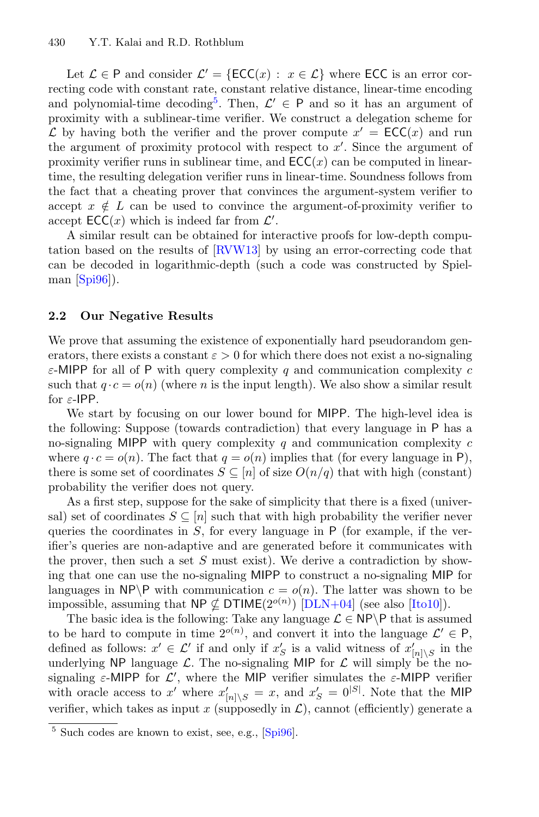Let  $\mathcal{L} \in \mathsf{P}$  and consider  $\mathcal{L}' = \{ \mathsf{ECC}(x) : x \in \mathcal{L} \}$  where  $\mathsf{ECC}$  is an error correcting code with constant rate, constant relative distance, linear-time encoding and polynomial-time decoding<sup>[5](#page-8-0)</sup>. Then,  $\mathcal{L}' \in \mathsf{P}$  and so it has an argument of proximity with a sublinear-time verifier. We construct a delegation scheme for  $\mathcal L$  by having both the verifier and the prover compute  $x' = \mathsf{ECC}(x)$  and run the argument of proximity protocol with respect to  $x'$ . Since the argument of proximity verifier runs in sublinear time, and  $\mathsf{ECC}(x)$  can be computed in lineartime, the resulting delegation verifier runs in linear-time. Soundness follows from the fact that a cheating prover that convinces the argument-system verifier to accept  $x \notin L$  can be used to convince the argument-of-proximity verifier to  $\text{accept} \text{ ECC}(x)$  which is indeed far from  $\mathcal{L}'$ .<br>A similar result can be obtained for inte

A similar result can be obtained for interactive proofs for low-depth computation based on the results of [\[RVW13](#page-20-5)] by using an error-correcting code that can be decoded in logarithmic-depth (such a code was constructed by Spielman  $[Spi96]$  $[Spi96]$ ).

#### **2.2 Our Negative Results**

We prove that assuming the existence of exponentially hard pseudorandom generators, there exists a constant  $\varepsilon > 0$  for which there does not exist a no-signaling  $\varepsilon$ -MIPP for all of P with query complexity q and communication complexity c such that  $q \cdot c = o(n)$  (where *n* is the input length). We also show a similar result for  $\varepsilon$ -IPP.

We start by focusing on our lower bound for MIPP. The high-level idea is the following: Suppose (towards contradiction) that every language in P has a no-signaling MIPP with query complexity  $q$  and communication complexity  $c$ where  $q \cdot c = o(n)$ . The fact that  $q = o(n)$  implies that (for every language in P), there is some set of coordinates  $S \subseteq [n]$  of size  $O(n/q)$  that with high (constant) probability the verifier does not query.

As a first step, suppose for the sake of simplicity that there is a fixed (universal) set of coordinates  $S \subseteq [n]$  such that with high probability the verifier never queries the coordinates in  $S$ , for every language in P (for example, if the verifier's queries are non-adaptive and are generated before it communicates with the prover, then such a set  $S$  must exist). We derive a contradiction by showing that one can use the no-signaling MIPP to construct a no-signaling MIP for languages in NP $\P$  with communication  $c = o(n)$ . The latter was shown to be impossible, assuming that  $\mathsf{NP} \nsubseteq \mathsf{DTIME}(2^{o(n)})$  [\[DLN+04](#page-19-17)] (see also [\[Ito10](#page-20-10)]).<br>The basic idea is the following: Take any language  $\mathcal{L} \in \mathsf{NP} \setminus \mathsf{P}$  that is assumed.

The basic idea is the following: Take any language  $\mathcal{L} \in \mathsf{NP} \backslash \mathsf{P}$  that is assumed to be hard to compute in time  $2^{o(n)}$ , and convert it into the language  $\mathcal{L}' \in \mathsf{P}$ , defined as follows:  $x' \in \mathcal{L}'$  if and only if  $x'_{S}$  is a valid witness of  $x'_{[n] \setminus S}$  in the underlying NP language  $\mathcal{L}$ . The no-signaling MIP for  $\mathcal L$  will simply be the nosignaling  $\varepsilon$ -MIPP for  $\mathcal{L}'$ , where the MIP verifier simulates the  $\varepsilon$ -MIPP verifier<br>with oracle access to  $x'$  where  $x' = x$  and  $x' = 0^{|\mathcal{S}|}$ . Note that the MIP with oracle access to x' where  $x'_{[n] \setminus S} = x$ , and  $x'_{S} = 0^{|S|}$ . Note that the MIP verifier, which takes as input x (supposedly in  $\mathcal{L}$ ), cannot (efficiently) generate a

<span id="page-8-0"></span> $5$  Such codes are known to exist, see, e.g.,  $\sqrt{\text{Spi96}}$ .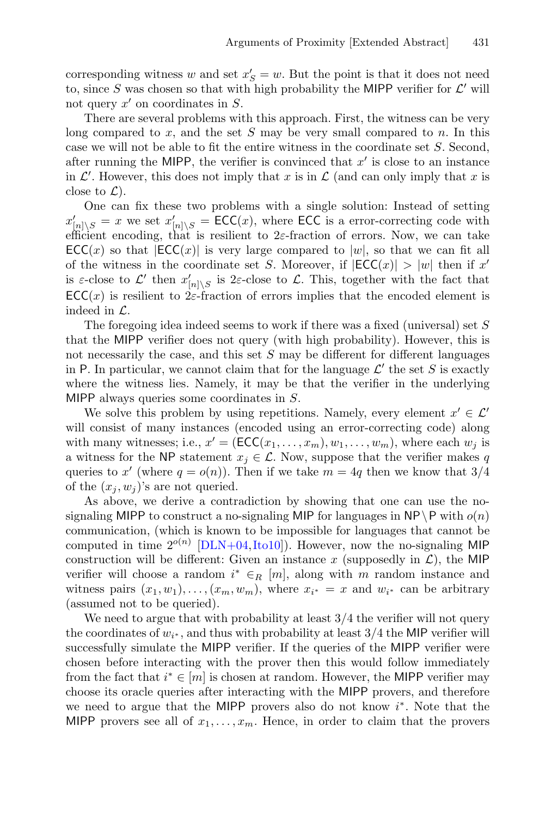corresponding witness w and set  $x'_{S} = w$ . But the point is that it does not need to, since S was chosen so that with high probability the MIPP verifier for  $\mathcal{L}'$  will not query  $x'$  on coordinates in  $S$ .

There are several problems with this approach. First, the witness can be very long compared to  $x$ , and the set  $S$  may be very small compared to  $n$ . In this case we will not be able to fit the entire witness in the coordinate set S. Second, after running the MIPP, the verifier is convinced that  $x'$  is close to an instance in  $\mathcal{L}'$ . However, this does not imply that x is in  $\mathcal{L}$  (and can only imply that x is close to  $\mathcal{L}$ ).

One can fix these two problems with a single solution: Instead of setting  $x'_{[n]\setminus S} = x$  we set  $x'_{[n]\setminus S} = \text{ECC}(x)$ , where ECC is a error-correcting code with efficient encoding that is resilient to 2s-fraction of errors. Now we can take efficient encoding, that is resilient to  $2\varepsilon$ -fraction of errors. Now, we can take  $\mathsf{ECC}(x)$  so that  $|\mathsf{ECC}(x)|$  is very large compared to  $|w|$ , so that we can fit all of the witness in the coordinate set S. Moreover, if  $|ECC(x)| > |w|$  then if x' is  $\varepsilon$ -close to  $\mathcal{L}'$  then  $x'_{[n]\setminus S}$  is 2 $\varepsilon$ -close to  $\mathcal{L}$ . This, together with the fact that  $\mathsf{ECC}(x)$  is resilient to  $2\varepsilon$ -fraction of errors implies that the encoded element is indeed in L.

The foregoing idea indeed seems to work if there was a fixed (universal) set  $S$ that the MIPP verifier does not query (with high probability). However, this is not necessarily the case, and this set  $S$  may be different for different languages in P. In particular, we cannot claim that for the language  $\mathcal{L}'$  the set S is exactly where the witness lies. Namely, it may be that the verifier in the underlying MIPP always queries some coordinates in <sup>S</sup>.

We solve this problem by using repetitions. Namely, every element  $x' \in \mathcal{L}'$ will consist of many instances (encoded using an error-correcting code) along with many witnesses; i.e.,  $x' = (ECC(x_1, \ldots, x_m), w_1, \ldots, w_m)$ , where each  $w_i$  is a witness for the NP statement  $x_i \in \mathcal{L}$ . Now, suppose that the verifier makes q queries to x' (where  $q = o(n)$ ). Then if we take  $m = 4q$  then we know that  $3/4$ of the  $(x_i, w_i)$ 's are not queried.

As above, we derive a contradiction by showing that one can use the nosignaling MIPP to construct a no-signaling MIP for languages in NP \P with  $o(n)$ communication, (which is known to be impossible for languages that cannot be computed in time  $2^{o(n)}$  [\[DLN+04,](#page-19-17)[Ito10\]](#page-20-10)). However, now the no-signaling MIP construction will be different: Given an instance x (supposedly in  $\mathcal{L}$ ), the MIP verifier will choose a random  $i^* \in_R [m]$ , along with m random instance and witness pairs  $(x_1, w_1), \ldots, (x_m, w_m)$ , where  $x_{i^*} = x$  and  $w_{i^*}$  can be arbitrary (assumed not to be queried).

We need to argue that with probability at least  $3/4$  the verifier will not query the coordinates of  $w_{i^*}$ , and thus with probability at least  $3/4$  the MIP verifier will successfully simulate the MIPP verifier. If the queries of the MIPP verifier were chosen before interacting with the prover then this would follow immediately from the fact that  $i^* \in [m]$  is chosen at random. However, the MIPP verifier may choose its oracle queries after interacting with the MIPP provers, and therefore choose its oracle queries after interacting with the MIPP provers, and therefore we need to argue that the MIPP provers also do not know  $i^*$ . Note that the MIPP provers see all of  $x_i$  and  $x_i$  Hence in order to claim that the provers MIPP provers see all of  $x_1, \ldots, x_m$ . Hence, in order to claim that the provers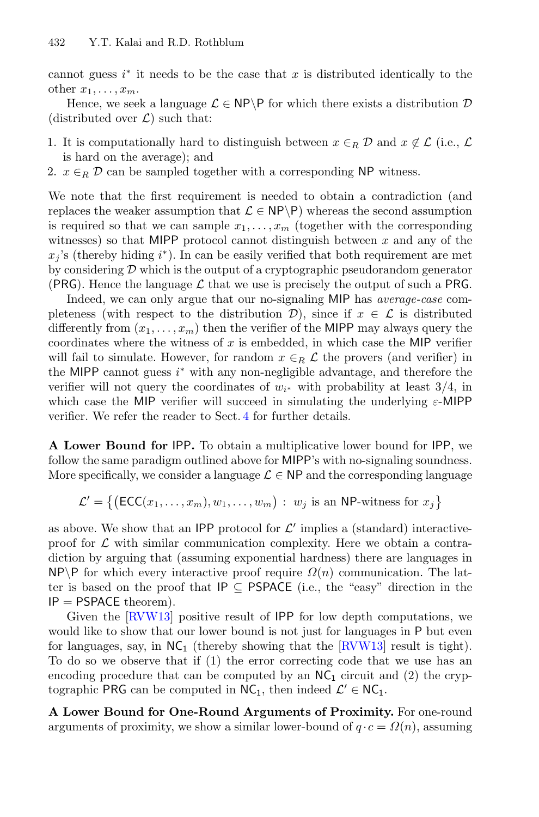cannot guess  $i^*$  it needs to be the case that x is distributed identically to the other  $x_1, \ldots, x_m$ .

Hence, we seek a language  $\mathcal{L} \in \mathsf{NP} \backslash \mathsf{P}$  for which there exists a distribution  $\mathcal{D}$ (distributed over  $\mathcal{L}$ ) such that:

- 1. It is computationally hard to distinguish between  $x \in_R \mathcal{D}$  and  $x \notin \mathcal{L}$  (i.e.,  $\mathcal{L}$ ) is hard on the average); and
- 2.  $x \in_R \mathcal{D}$  can be sampled together with a corresponding NP witness.

We note that the first requirement is needed to obtain a contradiction (and replaces the weaker assumption that  $\mathcal{L} \in \mathsf{NP} \backslash \mathsf{P}$  whereas the second assumption is required so that we can sample  $x_1, \ldots, x_m$  (together with the corresponding witnesses) so that MIPP protocol cannot distinguish between  $x$  and any of the  $x_j$ 's (thereby hiding i<sup>\*</sup>). In can be easily verified that both requirement are met by considering  $D$  which is the output of a cryptographic pseudorandom generator (PRG). Hence the language  $\mathcal L$  that we use is precisely the output of such a PRG.

Indeed, we can only argue that our no-signaling MIP has *average-case* completeness (with respect to the distribution D), since if  $x \in \mathcal{L}$  is distributed differently from  $(x_1,...,x_m)$  then the verifier of the MIPP may always query the coordinates where the witness of  $x$  is embedded, in which case the MIP verifier will fail to simulate. However, for random  $x \in_R \mathcal{L}$  the provers (and verifier) in the MIPP cannot guess  $i^*$  with any non-negligible advantage, and therefore the verifier will not query the coordinates of  $w_i$ , with probability at least  $3/4$  in verifier will not query the coordinates of  $w_{i^*}$  with probability at least 3/4, in which case the MIP verifier will succeed in simulating the underlying  $\varepsilon$ -MIPP verifier. We refer the reader to Sect. [4](#page-14-0) for further details.

**A Lower Bound for** IPP**.** To obtain a multiplicative lower bound for IPP, we follow the same paradigm outlined above for MIPP's with no-signaling soundness. More specifically, we consider a language  $\mathcal{L} \in \mathsf{NP}$  and the corresponding language

$$
\mathcal{L}' = \{ (\mathsf{ECC}(x_1, \ldots, x_m), w_1, \ldots, w_m) : w_j \text{ is an NP-witness for } x_j \}
$$

as above. We show that an IPP protocol for  $\mathcal{L}'$  implies a (standard) interactiveproof for  $\mathcal L$  with similar communication complexity. Here we obtain a contradiction by arguing that (assuming exponential hardness) there are languages in  $NP\$  for which every interactive proof require  $\Omega(n)$  communication. The latter is based on the proof that  $IP \subseteq PSPACE$  (i.e., the "easy" direction in the  $IP = PSPACE$  theorem).

Given the [\[RVW13\]](#page-20-5) positive result of IPP for low depth computations, we would like to show that our lower bound is not just for languages in P but even for languages, say, in  $NC_1$  (thereby showing that the  $[RVW13]$  $[RVW13]$  result is tight). To do so we observe that if (1) the error correcting code that we use has an encoding procedure that can be computed by an  $\mathsf{NC}_1$  circuit and (2) the cryptographic PRG can be computed in  $NC_1$ , then indeed  $\mathcal{L}' \in NC_1$ .

**A Lower Bound for One-Round Arguments of Proximity.** For one-round arguments of proximity, we show a similar lower-bound of  $q \cdot c = \Omega(n)$ , assuming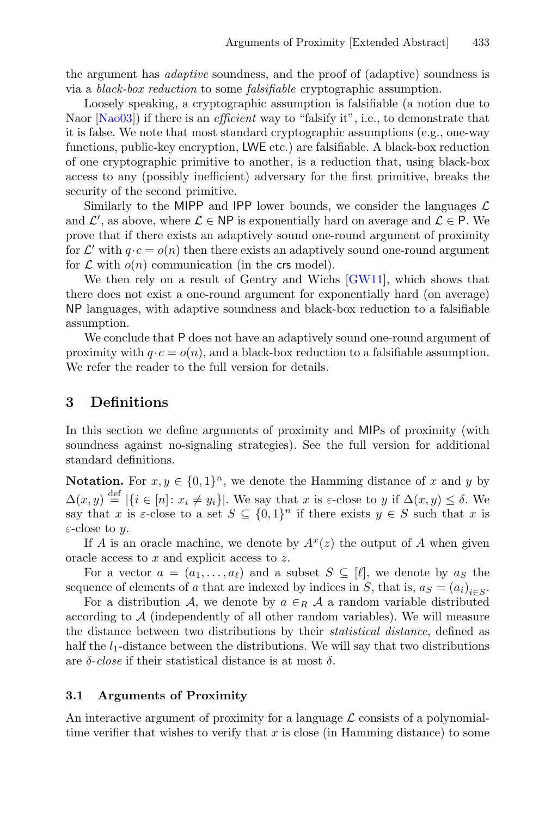the argument has *adaptive* soundness, and the proof of (adaptive) soundness is via a *black-box reduction* to some *falsifiable* cryptographic assumption.

Loosely speaking, a cryptographic assumption is falsifiable (a notion due to Naor [\[Nao03\]](#page-20-11)) if there is an *efficient* way to "falsify it", i.e., to demonstrate that it is false. We note that most standard cryptographic assumptions (e.g., one-way functions, public-key encryption, LWE etc.) are falsifiable. A black-box reduction of one cryptographic primitive to another, is a reduction that, using black-box access to any (possibly inefficient) adversary for the first primitive, breaks the security of the second primitive.

Similarly to the MIPP and IPP lower bounds, we consider the languages  $\mathcal{L}$ and  $\mathcal{L}'$ , as above, where  $\mathcal{L} \in \mathsf{NP}$  is exponentially hard on average and  $\mathcal{L} \in \mathsf{P}$ . We<br>prove that if there exists an adaptively sound one-round argument of provinity prove that if there exists an adaptively sound one-round argument of proximity for  $\mathcal{L}'$  with  $q \cdot c = o(n)$  then there exists an adaptively sound one-round argument for  $\mathcal L$  with  $o(n)$  communication (in the crs model).

We then rely on a result of Gentry and Wichs [\[GW11](#page-19-18)], which shows that there does not exist a one-round argument for exponentially hard (on average) NP languages, with adaptive soundness and black-box reduction to a falsifiable assumption.

We conclude that  $P$  does not have an adaptively sound one-round argument of proximity with  $q \cdot c = o(n)$ , and a black-box reduction to a falsifiable assumption. We refer the reader to the full version for details.

### <span id="page-11-0"></span>**3 Definitions**

In this section we define arguments of proximity and MIPs of proximity (with soundness against no-signaling strategies). See the full version for additional standard definitions.

**Notation.** For  $x, y \in \{0, 1\}^n$ , we denote the Hamming distance of x and y by  $\Delta(x, y) \stackrel{\text{def}}{=} |\{i \in [n]: x_i \neq y_i\}|.$  We say that x is  $\varepsilon$ -close to y if  $\Delta(x, y) \leq \delta$ . We say that x is  $\varepsilon$ -close to a set  $S \subseteq \{0,1\}^n$  if there exists  $y \in S$  such that x is  $\varepsilon$ -close to y.

If A is an oracle machine, we denote by  $A^x(z)$  the output of A when given oracle access to x and explicit access to z.

For a vector  $a = (a_1, \ldots, a_\ell)$  and a subset  $S \subseteq [\ell],$  we denote by  $a_S$  the sequence of elements of a that are indexed by indices in S, that is,  $a_S = (a_i)_{i \in S}$ .

For a distribution A, we denote by  $a \in_R \mathcal{A}$  a random variable distributed according to A (independently of all other random variables). We will measure the distance between two distributions by their *statistical distance*, defined as half the  $l_1$ -distance between the distributions. We will say that two distributions are  $\delta$ -*close* if their statistical distance is at most  $\delta$ .

#### **3.1 Arguments of Proximity**

An interactive argument of proximity for a language  $\mathcal L$  consists of a polynomialtime verifier that wishes to verify that x is close (in Hamming distance) to some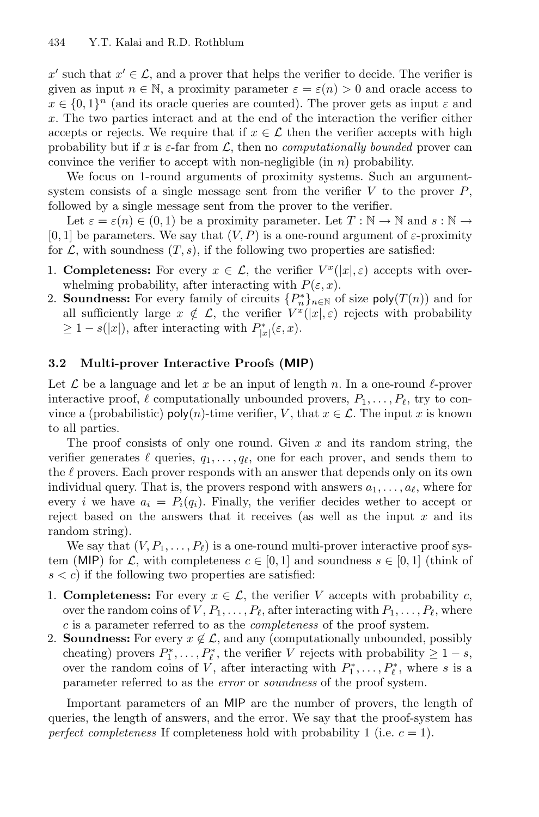x' such that  $x' \in \mathcal{L}$ , and a prover that helps the verifier to decide. The verifier is given as input  $n \in \mathbb{N}$ , a proximity parameter  $\varepsilon = \varepsilon(n) > 0$  and oracle access to  $x \in \{0,1\}^n$  (and its oracle queries are counted). The prover gets as input  $\varepsilon$  and x. The two parties interact and at the end of the interaction the verifier either accepts or rejects. We require that if  $x \in \mathcal{L}$  then the verifier accepts with high probability but if x is  $\varepsilon$ -far from  $\mathcal{L}$ , then no *computationally bounded* prover can convince the verifier to accept with non-negligible (in  $n$ ) probability.

We focus on 1-round arguments of proximity systems. Such an argumentsystem consists of a single message sent from the verifier  $V$  to the prover  $P$ , followed by a single message sent from the prover to the verifier.

Let  $\varepsilon = \varepsilon(n) \in (0,1)$  be a proximity parameter. Let  $T : \mathbb{N} \to \mathbb{N}$  and  $s : \mathbb{N} \to$  $[0, 1]$  be parameters. We say that  $(V, P)$  is a one-round argument of  $\varepsilon$ -proximity for  $\mathcal{L}$ , with soundness  $(T, s)$ , if the following two properties are satisfied:

- 1. **Completeness:** For every  $x \in \mathcal{L}$ , the verifier  $V^x(|x|, \varepsilon)$  accepts with overwhelming probability, after interacting with  $P(\varepsilon, x)$ .
- 2. **Soundness:** For every family of circuits  $\{P_n^*\}_{n\in\mathbb{N}}$  of size poly $(T(n))$  and for all sufficiently large  $x \notin C$  the verifier  $V^x(|x| \in \mathbb{N})$  rejects with probability all sufficiently large  $x \notin \mathcal{L}$ , the verifier  $V^x(|x|, \varepsilon)$  rejects with probability  $\geq 1 - s(|x|)$ , after interacting with  $P_{|x|}^*(\varepsilon, x)$ .

### <span id="page-12-0"></span>**3.2 Multi-prover Interactive Proofs (MIP)**

Let  $\mathcal L$  be a language and let x be an input of length n. In a one-round  $\ell$ -prover interactive proof,  $\ell$  computationally unbounded provers,  $P_1, \ldots, P_\ell$ , try to convince a (probabilistic) poly(n)-time verifier, V, that  $x \in \mathcal{L}$ . The input x is known to all parties.

The proof consists of only one round. Given  $x$  and its random string, the verifier generates  $\ell$  queries,  $q_1, \ldots, q_\ell$ , one for each prover, and sends them to the  $\ell$  provers. Each prover responds with an answer that depends only on its own individual query. That is, the provers respond with answers  $a_1, \ldots, a_\ell$ , where for every i we have  $a_i = P_i(q_i)$ . Finally, the verifier decides wether to accept or reject based on the answers that it receives (as well as the input  $x$  and its random string).

We say that  $(V, P_1, \ldots, P_\ell)$  is a one-round multi-prover interactive proof system (MIP) for L, with completeness  $c \in [0, 1]$  and soundness  $s \in [0, 1]$  (think of  $s < c$ ) if the following two properties are satisfied:

- 1. **Completeness:** For every  $x \in \mathcal{L}$ , the verifier V accepts with probability c, over the random coins of  $V, P_1, \ldots, P_\ell$ , after interacting with  $P_1, \ldots, P_\ell$ , where c is a parameter referred to as the *completeness* of the proof system.
- 2. **Soundness:** For every  $x \notin \mathcal{L}$ , and any (computationally unbounded, possibly cheating) provers  $P_1^*, \ldots, P_\ell^*$ , the verifier V rejects with probability  $\geq 1 - s$ , over the random coins of V, after interacting with  $P_1^*, \ldots, P_\ell^*$ , where s is a parameter referred to as the *error* or *soundness* of the proof system.

Important parameters of an MIP are the number of provers, the length of queries, the length of answers, and the error. We say that the proof-system has *perfect completeness* If completeness hold with probability 1 (i.e.  $c = 1$ ).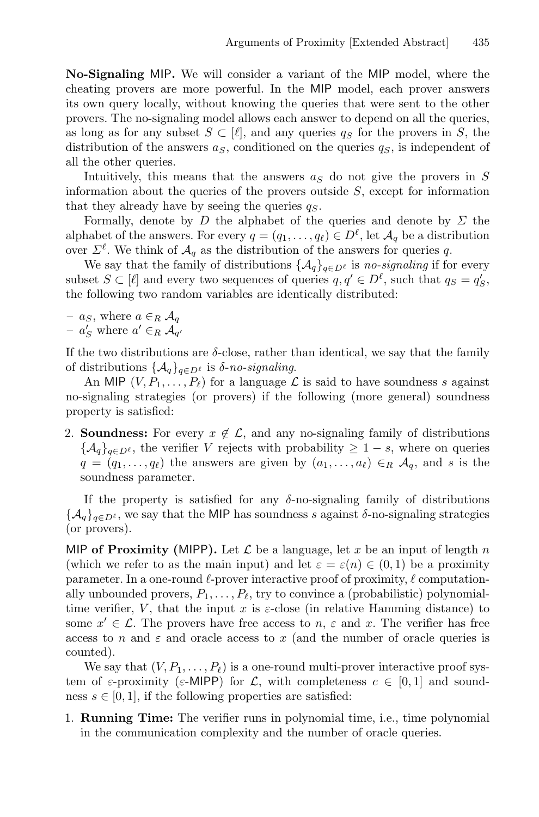**No-Signaling** MIP**.** We will consider a variant of the MIP model, where the cheating provers are more powerful. In the MIP model, each prover answers its own query locally, without knowing the queries that were sent to the other provers. The no-signaling model allows each answer to depend on all the queries, as long as for any subset  $S \subset [\ell],$  and any queries  $q_S$  for the provers in S, the distribution of the answers  $a<sub>S</sub>$ , conditioned on the queries  $q<sub>S</sub>$ , is independent of all the other queries.

Intuitively, this means that the answers  $a_S$  do not give the provers in S information about the queries of the provers outside  $S$ , except for information that they already have by seeing the queries  $q<sub>S</sub>$ .

Formally, denote by D the alphabet of the queries and denote by  $\Sigma$  the alphabet of the answers. For every  $q = (q_1, \ldots, q_\ell) \in D^\ell$ , let  $\mathcal{A}_q$  be a distribution over  $\Sigma^{\ell}$ . We think of  $\mathcal{A}_q$  as the distribution of the answers for queries q.

We say that the family of distributions  $\{\mathcal{A}_q\}_{q\in D^\ell}$  is *no-signaling* if for every subset  $S \subset [\ell]$  and every two sequences of queries  $q, q' \in D^{\ell}$ , such that  $q_S = q'_S$ , the following two random variables are identically distributed:

–  $a_S$ , where  $a \in_R \mathcal{A}_q$ 

-  $a'_S$  where  $a' \in_R \mathcal{A}_{q'}$ 

If the two distributions are  $\delta$ -close, rather than identical, we say that the family of distributions  $\{\mathcal{A}_q\}_{q\in D^\ell}$  is  $\delta$ -*no-signaling*.

An MIP  $(V, P_1, \ldots, P_\ell)$  for a language  $\mathcal L$  is said to have soundness s against no-signaling strategies (or provers) if the following (more general) soundness property is satisfied:

2. **Soundness:** For every  $x \notin \mathcal{L}$ , and any no-signaling family of distributions  ${\{\mathcal{A}_q\}}_{q\in D^{\ell}}$ , the verifier V rejects with probability  $\geq 1-s$ , where on queries  $q = (q_1, \ldots, q_\ell)$  the answers are given by  $(a_1, \ldots, a_\ell) \in_R \mathcal{A}_q$ , and s is the soundness parameter.

If the property is satisfied for any  $\delta$ -no-signaling family of distributions  ${A_q}_{q\in D}$ , we say that the MIP has soundness s against  $\delta$ -no-signaling strategies (or provers).

MIP of Proximity (MIPP). Let  $\mathcal L$  be a language, let x be an input of length n (which we refer to as the main input) and let  $\varepsilon = \varepsilon(n) \in (0,1)$  be a proximity parameter. In a one-round  $\ell$ -prover interactive proof of proximity,  $\ell$  computationally unbounded provers,  $P_1, \ldots, P_\ell$ , try to convince a (probabilistic) polynomialtime verifier, V, that the input x is  $\varepsilon$ -close (in relative Hamming distance) to some  $x' \in \mathcal{L}$ . The provers have free access to n,  $\varepsilon$  and x. The verifier has free access to n and  $\varepsilon$  and oracle access to x (and the number of oracle queries is counted).

We say that  $(V, P_1, \ldots, P_\ell)$  is a one-round multi-prover interactive proof system of  $\varepsilon$ -proximity ( $\varepsilon$ -MIPP) for  $\mathcal{L}$ , with completeness  $c \in [0,1]$  and soundness  $s \in [0, 1]$ , if the following properties are satisfied:

1. **Running Time:** The verifier runs in polynomial time, i.e., time polynomial in the communication complexity and the number of oracle queries.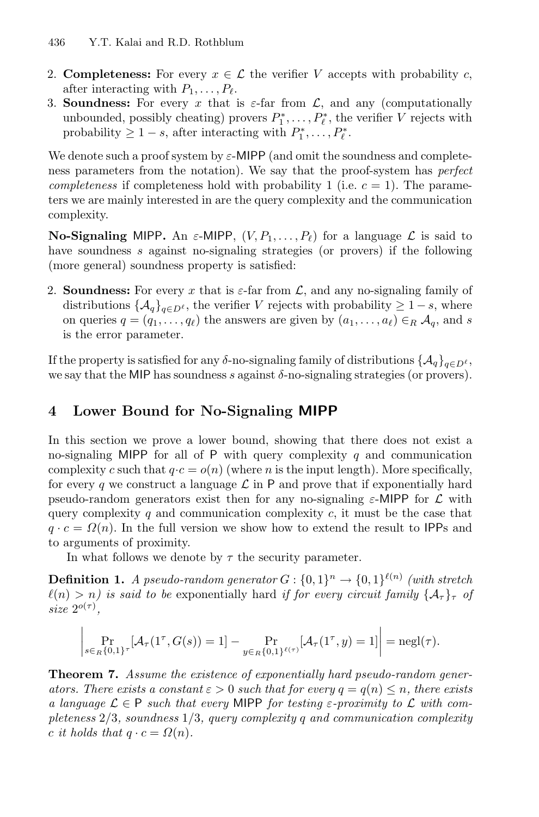- 2. **Completeness:** For every  $x \in \mathcal{L}$  the verifier V accepts with probability c, after interacting with  $P_1, \ldots, P_\ell$ .
- 3. **Soundness:** For every x that is  $\varepsilon$ -far from  $\mathcal{L}$ , and any (computationally unbounded, possibly cheating) provers  $P_1^*, \ldots, P_\ell^*$ , the verifier V rejects with probability  $\geq 1-s$ , after interacting with  $P_1^*, \ldots, P_\ell^*$ .

We denote such a proof system by  $\varepsilon$ -MIPP (and omit the soundness and completeness parameters from the notation). We say that the proof-system has *perfect completeness* if completeness hold with probability 1 (i.e.  $c = 1$ ). The parameters we are mainly interested in are the query complexity and the communication complexity.

**No-Signaling** MIPP. An  $\varepsilon$ -MIPP,  $(V, P_1, \ldots, P_\ell)$  for a language  $\mathcal L$  is said to have soundness s against no-signaling strategies (or provers) if the following (more general) soundness property is satisfied:

2. **Soundness:** For every x that is  $\varepsilon$ -far from  $\mathcal{L}$ , and any no-signaling family of distributions  $\{\mathcal{A}_q\}_{q\in D^\ell}$ , the verifier V rejects with probability  $\geq 1-s$ , where on queries  $q = (q_1, \ldots, q_\ell)$  the answers are given by  $(a_1, \ldots, a_\ell) \in_R \mathcal{A}_q$ , and s is the error parameter.

If the property is satisfied for any  $\delta$ -no-signaling family of distributions  $\{\mathcal{A}_q\}_{q\in D^{\ell}}$ , we say that the MIP has soundness s against  $\delta$ -no-signaling strategies (or provers).

# <span id="page-14-0"></span>**4 Lower Bound for No-Signaling MIPP**

In this section we prove a lower bound, showing that there does not exist a no-signaling MIPP for all of P with query complexity  $q$  and communication complexity c such that  $q \cdot c = o(n)$  (where n is the input length). More specifically, for every q we construct a language  $\mathcal L$  in P and prove that if exponentially hard pseudo-random generators exist then for any no-signaling  $\varepsilon$ -MIPP for  $\mathcal L$  with query complexity  $q$  and communication complexity  $c$ , it must be the case that  $q \cdot c = \Omega(n)$ . In the full version we show how to extend the result to IPPs and to arguments of proximity.

In what follows we denote by  $\tau$  the security parameter.

**Definition 1.** *A pseudo-random generator*  $G: \{0,1\}^n \rightarrow \{0,1\}^{\ell(n)}$  *(with stretch*)  $\ell(n) > n$ *) is said to be* exponentially hard *if for every circuit family*  $\{A_{\tau}\}_{\tau}$  *of*  $size 2^{o(\tau)},$ 

$$
\left| \Pr_{s \in R\{0,1\}^{\tau}}[\mathcal{A}_{\tau}(1^{\tau}, G(s)) = 1] - \Pr_{y \in R\{0,1\}^{\ell(\tau)}}[\mathcal{A}_{\tau}(1^{\tau}, y) = 1] \right| = \text{negl}(\tau).
$$

<span id="page-14-1"></span>**Theorem 7.** *Assume the existence of exponentially hard pseudo-random generators. There exists a constant*  $\varepsilon > 0$  *such that for every*  $q = q(n) \leq n$ *, there exists a language*  $\mathcal{L} \in \mathsf{P}$  *such that every* MIPP *for testing*  $\varepsilon$ -proximity to  $\mathcal{L}$  with com*pleteness* 2/3*, soundness* 1/3*, query complexity* q *and communication complexity* c *it holds that*  $q \cdot c = \Omega(n)$ .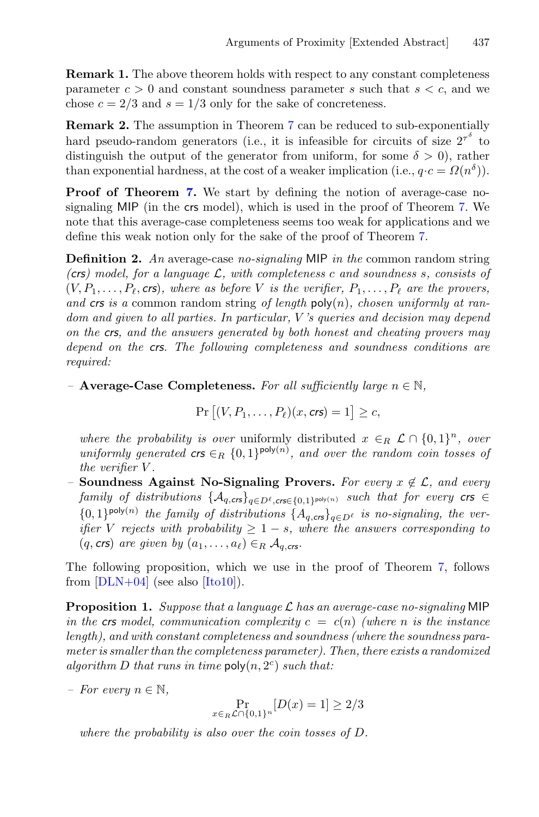**Remark 1.** The above theorem holds with respect to any constant completeness parameter  $c > 0$  and constant soundness parameter s such that  $s < c$ , and we chose  $c = 2/3$  and  $s = 1/3$  only for the sake of concreteness.

**Remark 2.** The assumption in Theorem [7](#page-14-1) can be reduced to sub-exponentially hard pseudo-random generators (i.e., it is infeasible for circuits of size  $2^{\tau^{\delta}}$  to distinguish the output of the generator from uniform, for some  $\delta > 0$ , rather than exponential hardness, at the cost of a weaker implication (i.e.,  $q \cdot c = \Omega(n^{\delta})$ ).

**Proof of Theorem [7.](#page-14-1)** We start by defining the notion of average-case nosignaling MIP (in the crs model), which is used in the proof of Theorem [7.](#page-14-1) We note that this average-case completeness seems too weak for applications and we define this weak notion only for the sake of the proof of Theorem [7.](#page-14-1)

**Definition 2.** *An* average-case *no-signaling* MIP *in the* common random string *(crs) model, for a language* L*, with completeness* c *and soundness* s*, consists of*  $(V, P_1, \ldots, P_\ell, \text{crs})$ , where as before V is the verifier,  $P_1, \ldots, P_\ell$  are the provers, *and crs is a* common random string *of length* poly(n)*, chosen uniformly at random and given to all parties. In particular,* V *'s queries and decision may depend on the crs, and the answers generated by both honest and cheating provers may depend on the crs. The following completeness and soundness conditions are required:*

*–* **Average-Case Completeness.** *For all sufficiently large* n ∈ N*,*

 $Pr [(V, P_1, ..., P_\ell)(x, crs) = 1] \ge c,$ 

*where the probability is over* uniformly distributed  $x \in_R \mathcal{L} \cap \{0, 1\}^n$ , over *uniformly generated*  $\textsf{crs} \in_R \{0,1\}^{\textsf{poly}(n)}$ , and over the random coin tosses of *the verifier* V *.*

*–* **Soundness Against No-Signaling Provers.** For every  $x \notin \mathcal{L}$ , and every *family of distributions*  $\{A_{q,\text{crs}}\}_{q\in D^{\ell},\text{crs}\in\{0,1\}^{\text{poly}(n)}}$  *such that for every*  $\text{crs} \in$  ${0,1}^{\text{poly}(n)}$  *the family of distributions*  ${A_{q,crs}}_{q\in D^{\ell}}$  *is no-signaling, the verifier* V *rejects with probability*  $\geq 1 - s$ *, where the answers corresponding to*  $(q, crs)$  *are given by*  $(a_1, \ldots, a_\ell) \in_R \mathcal{A}_{q, crs}$ .

<span id="page-15-0"></span>The following proposition, which we use in the proof of Theorem [7,](#page-14-1) follows from  $[DLN+04]$  (see also  $[Ito10]$  $[Ito10]$ ).

**Proposition 1.** *Suppose that a language* <sup>L</sup> *has an average-case no-signaling* MIP *in the*  $\text{crs}$  *model, communication complexity*  $c = c(n)$  *(where n is the instance length), and with constant completeness and soundness (where the soundness parameter is smaller than the completeness parameter). Then, there exists a randomized algorithm* D *that runs in time*  $\text{poly}(n, 2^c)$  *such that:* 

*– For every*  $n \in \mathbb{N}$ ,

$$
\Pr_{x \in_R \mathcal{L} \cap \{0,1\}^n} [D(x) = 1] \ge 2/3
$$

*where the probability is also over the coin tosses of* D*.*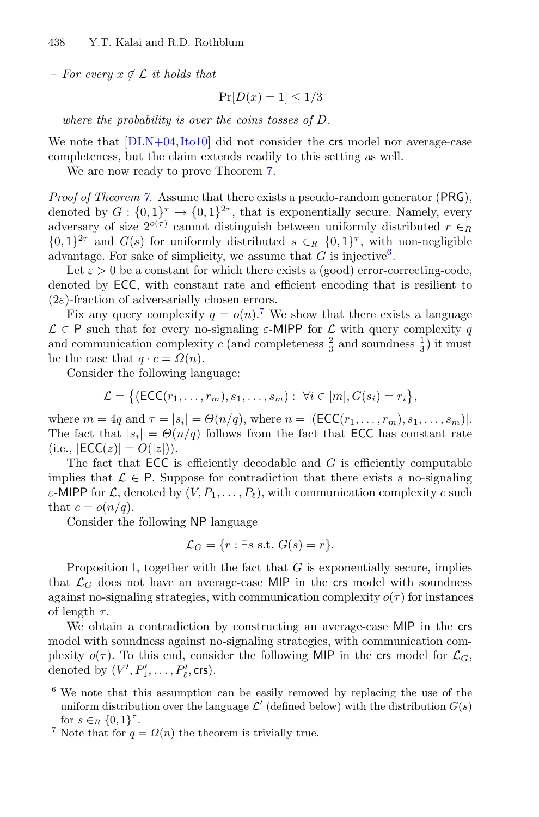*– For every*  $x \notin \mathcal{L}$  *it holds that* 

$$
\Pr[D(x) = 1] \le 1/3
$$

*where the probability is over the coins tosses of* D*.*

We note that  $[DLN+04,Ito10]$  $[DLN+04,Ito10]$  $[DLN+04,Ito10]$  $[DLN+04,Ito10]$  did not consider the crs model nor average-case completeness, but the claim extends readily to this setting as well.

We are now ready to prove Theorem  $7$ .

*Proof of Theorem [7.](#page-14-1)* Assume that there exists a pseudo-random generator (PRG), denoted by  $G: \{0,1\}^{\tau} \to \{0,1\}^{2\tau}$ , that is exponentially secure. Namely, every adversary of size  $2^{o(\tau)}$  cannot distinguish between uniformly distributed  $r \in_R$  $\{0,1\}^{2\tau}$  and  $G(s)$  for uniformly distributed  $s \in_R \{0,1\}^{\tau}$ , with non-negligible advantage. For sake of simplicity, we assume that  $G$  is injective<sup>[6](#page-16-0)</sup>.

Let  $\varepsilon > 0$  be a constant for which there exists a (good) error-correcting-code, denoted by ECC, with constant rate and efficient encoding that is resilient to  $(2\varepsilon)$ -fraction of adversarially chosen errors.

Fix any query complexity  $q = o(n)$ .<sup>[7](#page-16-1)</sup> We show that there exists a language  $\mathcal{L} \in \mathsf{P}$  such that for every no-signaling  $\varepsilon$ -MIPP for  $\mathcal{L}$  with query complexity q and communication complexity c (and completeness  $\frac{2}{3}$  and soundness  $\frac{1}{3}$ ) it must be the case that  $q \cdot c = \Omega(n)$ .

Consider the following language:

$$
\mathcal{L} = \{ (\mathsf{ECC}(r_1, \ldots, r_m), s_1, \ldots, s_m) : \ \forall i \in [m], G(s_i) = r_i \},
$$

where  $m = 4q$  and  $\tau = |s_i| = \Theta(n/q)$ , where  $n = |(ECC(r_1, ..., r_m), s_1, ..., s_m)|$ . The fact that  $|s_i| = \Theta(n/q)$  follows from the fact that ECC has constant rate  $(i.e., |ECC(z)| = O(|z|)).$ 

The fact that  $\mathsf{ECC}$  is efficiently decodable and G is efficiently computable implies that  $\mathcal{L} \in \mathsf{P}$ . Suppose for contradiction that there exists a no-signaling  $\varepsilon$ -MIPP for  $\mathcal{L}$ , denoted by  $(V, P_1, \ldots, P_\ell)$ , with communication complexity c such that  $c = o(n/q)$ .

Consider the following NP language

$$
\mathcal{L}_G = \{r : \exists s \text{ s.t. } G(s) = r\}.
$$

Proposition [1,](#page-15-0) together with the fact that  $G$  is exponentially secure, implies that  $\mathcal{L}_G$  does not have an average-case MIP in the crs model with soundness against no-signaling strategies, with communication complexity  $o(\tau)$  for instances of length  $\tau$ .

We obtain a contradiction by constructing an average-case MIP in the crs model with soundness against no-signaling strategies, with communication complexity  $o(\tau)$ . To this end, consider the following MIP in the crs model for  $\mathcal{L}_G$ , denoted by  $(V', P'_1, \ldots, P'_\ell, \mathsf{crs}).$ 

<span id="page-16-0"></span><sup>6</sup> We note that this assumption can be easily removed by replacing the use of the uniform distribution over the language  $\mathcal{L}'$  (defined below) with the distribution  $G(s)$ for  $s \in_R \{0,1\}^{\tau}$ .<br><sup>7</sup> Note that for  $q = \Omega(n)$  the theorem is trivially true.

<span id="page-16-1"></span>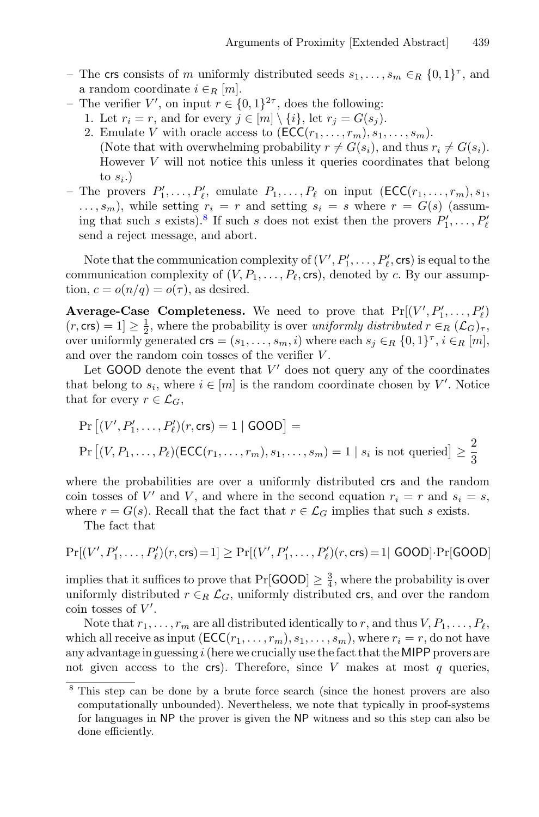- The crs consists of m uniformly distributed seeds  $s_1, \ldots, s_m \in_R \{0, 1\}^{\tau}$ , and a random coordinate  $i \in R$  [m].
- The verifier V', on input  $r \in \{0,1\}^{2\tau}$ , does the following:
	- 1. Let  $r_i = r$ , and for every  $j \in [m] \setminus \{i\}$ , let  $r_j = G(s_j)$ .
	- 2. Emulate V with oracle access to  $(\mathsf{ECC}(r_1,\ldots,r_m), s_1,\ldots,s_m)$ . (Note that with overwhelming probability  $r \neq G(s_i)$ , and thus  $r_i \neq G(s_i)$ . However  $V$  will not notice this unless it queries coordinates that belong to  $s_i$ .)
- The provers  $P'_1, \ldots, P'_\ell$ , emulate  $P_1, \ldots, P_\ell$  on input  $(\mathsf{ECC}(r_1, \ldots, r_m), s_1, s_2)$ <br>so while setting  $r_i = r$  and setting  $s_i = s$  where  $r = G(s)$  (assum- $\dots, s_m$ ), while setting  $r_i = r$  and setting  $s_i = s$  where  $r = G(s)$  (assum-ing that such s exists).<sup>[8](#page-17-0)</sup> If such s does not exist then the provers  $P'_1, \ldots, P'_\ell$ send a reject message, and abort.

Note that the communication complexity of  $(V', P'_1, \ldots, P'_\ell, \mathsf{crs})$  is equal to the numication complexity of  $(V, P, P'_2, \mathsf{crs})$  denoted by  $c$ . By our assumpcommunication complexity of  $(V, P_1, \ldots, P_\ell, \text{crs})$ , denoted by c. By our assumption,  $c = o(n/q) = o(\tau)$ , as desired.

**Average-Case Completeness.** We need to prove that  $Pr[(V', P'_1, \ldots, P'_\ell)]$  $(r, \text{crs}) = 1 \geq \frac{1}{2}$ , where the probability is over *uniformly distributed*  $r \in_R (L_G)_{\tau}$ , over uniformly generated  $\text{crs} = (s_1, \ldots, s_n)$  where each  $s_i \in_R \{0, 1\}^{\tau}$  i  $\in_R [m]$ over uniformly generated  $\textsf{crs} = (s_1, \ldots, s_m, i)$  where each  $s_i \in_R \{0, 1\}^{\tau}, i \in_R [m],$ and over the random coin tosses of the verifier V.

Let GOOD denote the event that  $V'$  does not query any of the coordinates that belong to  $s_i$ , where  $i \in [m]$  is the random coordinate chosen by V'. Notice that for every  $r \in \mathcal{L}_G$ ,

$$
\Pr\left[(V', P'_1, \dots, P'_\ell)(r, \text{crs}) = 1 \mid \text{GOOD}\right] =
$$
\n
$$
\Pr\left[(V, P_1, \dots, P_\ell)(\text{ECC}(r_1, \dots, r_m), s_1, \dots, s_m) = 1 \mid s_i \text{ is not queried}\right] \ge \frac{2}{3}
$$

where the probabilities are over a uniformly distributed crs and the random coin tosses of V' and V, and where in the second equation  $r_i = r$  and  $s_i = s$ , where  $r = G(s)$ . Recall that the fact that  $r \in \mathcal{L}_G$  implies that such s exists.

The fact that

$$
Pr[(V', P'_1, \dots, P'_\ell)(r, \text{crs}) = 1] \ge Pr[(V', P'_1, \dots, P'_\ell)(r, \text{crs}) = 1 | \text{GOOD}]\cdot Pr[\text{GOOD}]
$$

implies that it suffices to prove that  $Pr[GOOD] \geq \frac{3}{4}$ , where the probability is over<br>uniformly distributed  $r \in \mathbb{R}$  a uniformly distributed  $\mathsf{crs}$  and over the random uniformly distributed  $r \in_R \mathcal{L}_G$ , uniformly distributed crs, and over the random  $\cos$  coin tosses of  $V'$ .

Note that  $r_1, \ldots, r_m$  are all distributed identically to r, and thus  $V, P_1, \ldots, P_\ell$ , which all receive as input  $(\mathsf{ECC}(r_1,\ldots,r_m), s_1,\ldots,s_m)$ , where  $r_i = r$ , do not have any advantage in guessing  $i$  (here we crucially use the fact that the MIPP provers are not given access to the crs). Therefore, since  $V$  makes at most  $q$  queries,

<span id="page-17-0"></span><sup>8</sup> This step can be done by a brute force search (since the honest provers are also computationally unbounded). Nevertheless, we note that typically in proof-systems for languages in NP the prover is given the NP witness and so this step can also be done efficiently.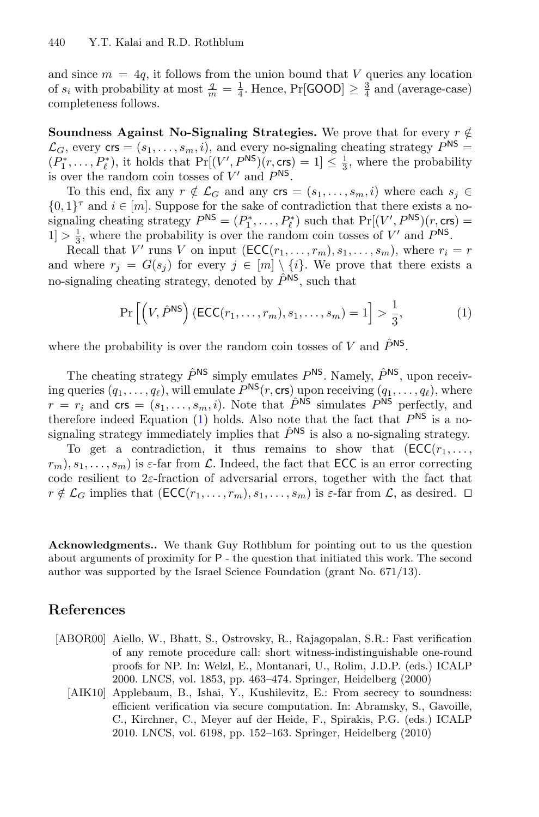and since  $m = 4q$ , it follows from the union bound that V queries any location of  $s_i$  with probability at most  $\frac{q}{m} = \frac{1}{4}$ . Hence, Pr[GOOD]  $\geq \frac{3}{4}$  and (average-case) completeness follows completeness follows.

**Soundness Against No-Signaling Strategies.** We prove that for every  $r \notin$  $\mathcal{L}_G$ , every crs =  $(s_1,\ldots,s_m,i)$ , and every no-signaling cheating strategy  $P^{\text{NS}}$  =  $(P_1^*, \ldots, P_\ell^*)$ , it holds that  $Pr[(V', P^{\text{NS}})(r, \text{crs}) = 1] \le \frac{1}{3}$ , where the probability is over the random coin tosses of  $V'$  and  $P^{\text{NS}}$ is over the random coin tosses of  $V'$  and  $P<sup>NS</sup>$ .

To this end, fix any  $r \notin \mathcal{L}_G$  and any  $\text{crs} = (s_1, \ldots, s_m, i)$  where each  $s_i \in$  $\{0,1\}^{\tau}$  and  $i \in [m]$ . Suppose for the sake of contradiction that there exists a nosignaling cheating strategy  $P^{NS} = (P_1^*, \ldots, P_\ell^*)$  such that  $Pr[(V', P^{NS})(r, \text{crs}) = 1] > \frac{1}{2}$  where the probability is over the random coin tosses of  $V'$  and  $P^{NS}$  $1] > \frac{1}{3}$ , where the probability is over the random coin tosses of V' and P<sup>NS</sup>.

<span id="page-18-2"></span>Recall that V' runs V on input  $(\mathsf{ECC}(r_1,\ldots,r_m), s_1,\ldots,s_m)$ , where  $r_i = r$ and where  $r_j = G(s_j)$  for every  $j \in [m] \setminus \{i\}$ . We prove that there exists a no-signaling cheating strategy, denoted by  $\hat{P}^{\text{NS}}$ , such that

$$
\Pr\left[\left(V, \hat{P}^{\text{NS}}\right)\left(\text{ECC}(r_1, \dots, r_m), s_1, \dots, s_m\right) = 1\right] > \frac{1}{3},\tag{1}
$$

where the probability is over the random coin tosses of V and  $\hat{P}^{NS}$ .

The cheating strategy  $\hat{P}^{\text{NS}}$  simply emulates  $P^{\text{NS}}$ . Namely,  $\hat{P}^{\text{NS}}$ , upon receiving queries  $(q_1,\ldots,q_\ell)$ , will emulate  $P^{\text{NS}}(r,\text{crs})$  upon receiving  $(q_1,\ldots,q_\ell)$ , where  $r = r_i$  and  $\textsf{crs} = (s_1, \ldots, s_m, i)$ . Note that  $\hat{P}^{\textsf{NS}}$  simulates  $\hat{P}^{\textsf{NS}}$  perfectly, and therefore indeed Equation [\(1\)](#page-18-2) holds. Also note that the fact that  $P<sup>NS</sup>$  is a nosignaling strategy immediately implies that  $\hat{P}^{\text{NS}}$  is also a no-signaling strategy.

To get a contradiction, it thus remains to show that  $(\mathsf{ECC}(r_1,\ldots,$  $r_m$ ,  $s_1, \ldots, s_m$  is  $\varepsilon$ -far from  $\mathcal L$ . Indeed, the fact that ECC is an error correcting code resilient to  $2\varepsilon$ -fraction of adversarial errors, together with the fact that  $r \notin \mathcal{L}_G$  implies that  $(\mathsf{ECC}(r_1,\ldots,r_m), s_1,\ldots,s_m)$  is  $\varepsilon$ -far from  $\mathcal{L}$ , as desired.  $\Box$ 

**Acknowledgments..** We thank Guy Rothblum for pointing out to us the question about arguments of proximity for P - the question that initiated this work. The second author was supported by the Israel Science Foundation (grant No. 671/13).

## <span id="page-18-1"></span>**References**

- <span id="page-18-0"></span>[ABOR00] Aiello, W., Bhatt, S., Ostrovsky, R., Rajagopalan, S.R.: Fast verification of any remote procedure call: short witness-indistinguishable one-round proofs for NP. In: Welzl, E., Montanari, U., Rolim, J.D.P. (eds.) ICALP 2000. LNCS, vol. 1853, pp. 463–474. Springer, Heidelberg (2000)
	- [AIK10] Applebaum, B., Ishai, Y., Kushilevitz, E.: From secrecy to soundness: efficient verification via secure computation. In: Abramsky, S., Gavoille, C., Kirchner, C., Meyer auf der Heide, F., Spirakis, P.G. (eds.) ICALP 2010. LNCS, vol. 6198, pp. 152–163. Springer, Heidelberg (2010)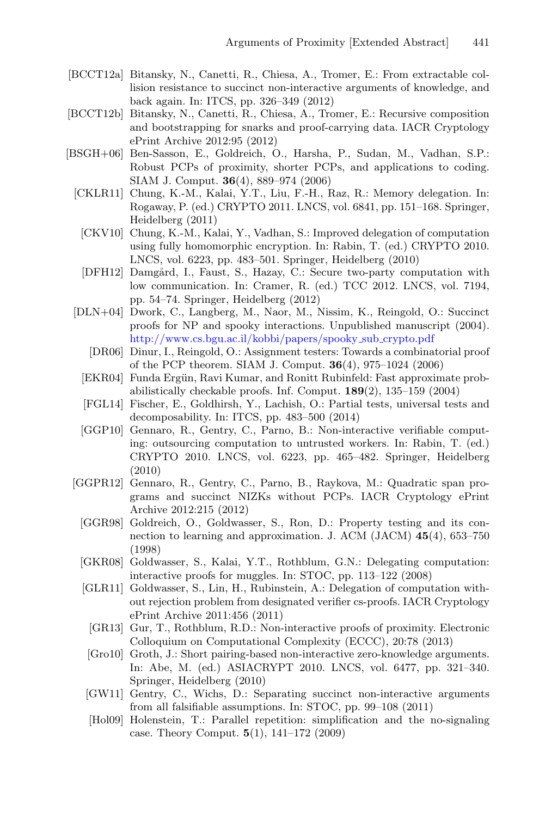- <span id="page-19-5"></span>[BCCT12a] Bitansky, N., Canetti, R., Chiesa, A., Tromer, E.: From extractable collision resistance to succinct non-interactive arguments of knowledge, and back again. In: ITCS, pp. 326–349 (2012)
- <span id="page-19-7"></span>[BCCT12b] Bitansky, N., Canetti, R., Chiesa, A., Tromer, E.: Recursive composition and bootstrapping for snarks and proof-carrying data. IACR Cryptology ePrint Archive 2012:95 (2012)
- <span id="page-19-18"></span><span id="page-19-17"></span><span id="page-19-16"></span><span id="page-19-15"></span><span id="page-19-14"></span><span id="page-19-13"></span><span id="page-19-12"></span><span id="page-19-11"></span><span id="page-19-10"></span><span id="page-19-9"></span><span id="page-19-8"></span><span id="page-19-6"></span><span id="page-19-4"></span><span id="page-19-3"></span><span id="page-19-2"></span><span id="page-19-1"></span><span id="page-19-0"></span>[BSGH+06] Ben-Sasson, E., Goldreich, O., Harsha, P., Sudan, M., Vadhan, S.P.: Robust PCPs of proximity, shorter PCPs, and applications to coding. SIAM J. Comput. **36**(4), 889–974 (2006)
	- [CKLR11] Chung, K.-M., Kalai, Y.T., Liu, F.-H., Raz, R.: Memory delegation. In: Rogaway, P. (ed.) CRYPTO 2011. LNCS, vol. 6841, pp. 151–168. Springer, Heidelberg (2011)
		- [CKV10] Chung, K.-M., Kalai, Y., Vadhan, S.: Improved delegation of computation using fully homomorphic encryption. In: Rabin, T. (ed.) CRYPTO 2010. LNCS, vol. 6223, pp. 483–501. Springer, Heidelberg (2010)
		- [DFH12] Damgård, I., Faust, S., Hazay, C.: Secure two-party computation with low communication. In: Cramer, R. (ed.) TCC 2012. LNCS, vol. 7194, pp. 54–74. Springer, Heidelberg (2012)
	- [DLN+04] Dwork, C., Langberg, M., Naor, M., Nissim, K., Reingold, O.: Succinct proofs for NP and spooky interactions. Unpublished manuscript (2004). [http://www.cs.bgu.ac.il/kobbi/papers/spooky](http://www.cs.bgu.ac.il/kobbi/papers/spooky_sub_crypto.pdf) sub crypto.pdf
		- [DR06] Dinur, I., Reingold, O.: Assignment testers: Towards a combinatorial proof of the PCP theorem. SIAM J. Comput. **36**(4), 975–1024 (2006)
		- [EKR04] Funda Ergün, Ravi Kumar, and Ronitt Rubinfeld: Fast approximate probabilistically checkable proofs. Inf. Comput. **189**(2), 135–159 (2004)
		- [FGL14] Fischer, E., Goldhirsh, Y., Lachish, O.: Partial tests, universal tests and decomposability. In: ITCS, pp. 483–500 (2014)
		- [GGP10] Gennaro, R., Gentry, C., Parno, B.: Non-interactive verifiable computing: outsourcing computation to untrusted workers. In: Rabin, T. (ed.) CRYPTO 2010. LNCS, vol. 6223, pp. 465–482. Springer, Heidelberg (2010)
	- [GGPR12] Gennaro, R., Gentry, C., Parno, B., Raykova, M.: Quadratic span programs and succinct NIZKs without PCPs. IACR Cryptology ePrint Archive 2012:215 (2012)
		- [GGR98] Goldreich, O., Goldwasser, S., Ron, D.: Property testing and its connection to learning and approximation. J. ACM (JACM) **45**(4), 653–750 (1998)
		- [GKR08] Goldwasser, S., Kalai, Y.T., Rothblum, G.N.: Delegating computation: interactive proofs for muggles. In: STOC, pp. 113–122 (2008)
		- [GLR11] Goldwasser, S., Lin, H., Rubinstein, A.: Delegation of computation without rejection problem from designated verifier cs-proofs. IACR Cryptology ePrint Archive 2011:456 (2011)
		- [GR13] Gur, T., Rothblum, R.D.: Non-interactive proofs of proximity. Electronic Colloquium on Computational Complexity (ECCC), 20:78 (2013)
		- [Gro10] Groth, J.: Short pairing-based non-interactive zero-knowledge arguments. In: Abe, M. (ed.) ASIACRYPT 2010. LNCS, vol. 6477, pp. 321–340. Springer, Heidelberg (2010)
		- [GW11] Gentry, C., Wichs, D.: Separating succinct non-interactive arguments from all falsifiable assumptions. In: STOC, pp. 99–108 (2011)
		- [Hol09] Holenstein, T.: Parallel repetition: simplification and the no-signaling case. Theory Comput. **5**(1), 141–172 (2009)